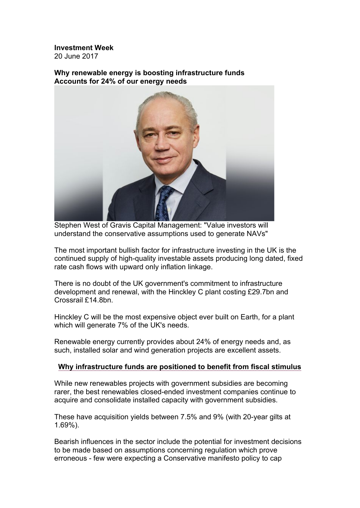**Investment Week** 20 June 2017

**Why renewable energy is boosting infrastructure funds Accounts for 24% of our energy needs**



Stephen West of Gravis Capital Management: "Value investors will understand the conservative assumptions used to generate NAVs"

The most important bullish factor for infrastructure investing in the UK is the continued supply of high-quality investable assets producing long dated, fixed rate cash flows with upward only inflation linkage.

There is no doubt of the UK government's commitment to infrastructure development and renewal, with the Hinckley C plant costing £29.7bn and Crossrail £14.8bn.

Hinckley C will be the most expensive object ever built on Earth, for a plant which will generate 7% of the UK's needs.

Renewable energy currently provides about 24% of energy needs and, as such, installed solar and wind generation projects are excellent assets.

# **Why infrastructure funds are positioned to benefit from fiscal stimulus**

While new renewables projects with government subsidies are becoming rarer, the best renewables closed-ended investment companies continue to acquire and consolidate installed capacity with government subsidies.

These have acquisition yields between 7.5% and 9% (with 20-year gilts at 1.69%).

Bearish influences in the sector include the potential for investment decisions to be made based on assumptions concerning regulation which prove erroneous - few were expecting a Conservative manifesto policy to cap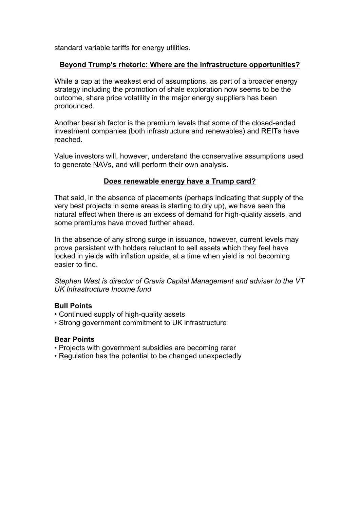standard variable tariffs for energy utilities.

# **Beyond Trump's rhetoric: Where are the infrastructure opportunities?**

While a cap at the weakest end of assumptions, as part of a broader energy strategy including the promotion of shale exploration now seems to be the outcome, share price volatility in the major energy suppliers has been pronounced.

Another bearish factor is the premium levels that some of the closed-ended investment companies (both infrastructure and renewables) and REITs have reached.

Value investors will, however, understand the conservative assumptions used to generate NAVs, and will perform their own analysis.

# **Does renewable energy have a Trump card?**

That said, in the absence of placements (perhaps indicating that supply of the very best projects in some areas is starting to dry up), we have seen the natural effect when there is an excess of demand for high-quality assets, and some premiums have moved further ahead.

In the absence of any strong surge in issuance, however, current levels may prove persistent with holders reluctant to sell assets which they feel have locked in yields with inflation upside, at a time when yield is not becoming easier to find.

*Stephen West is director of Gravis Capital Management and adviser to the VT UK Infrastructure Income fund*

#### **Bull Points**

- Continued supply of high-quality assets
- Strong government commitment to UK infrastructure

#### **Bear Points**

- Projects with government subsidies are becoming rarer
- Regulation has the potential to be changed unexpectedly